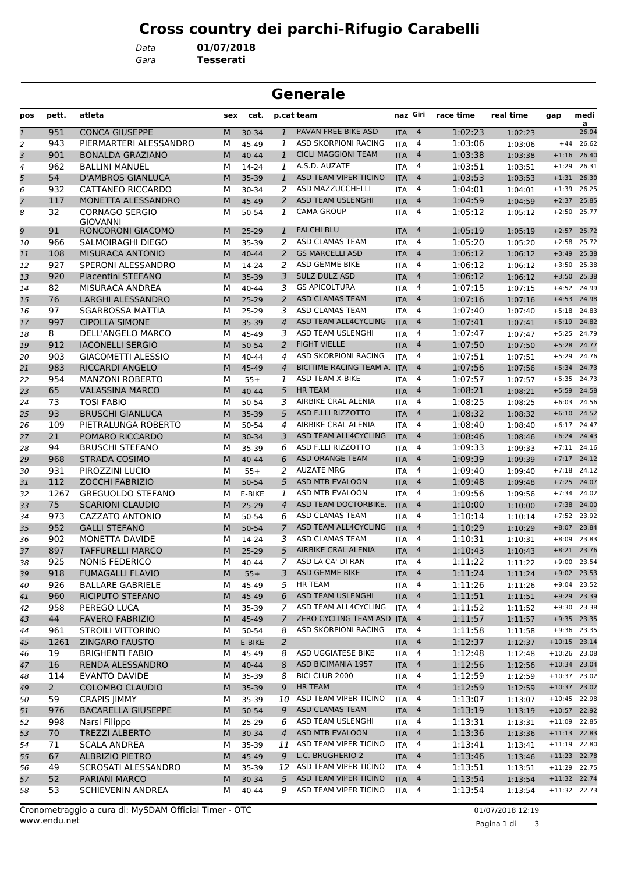## **Cross country dei parchi-Rifugio Carabelli**

*Gara* **Tesserati** *Data* **01/07/2018**

| <b>Generale</b>         |             |                                          |     |           |                |                             |            |                |           |           |                |               |
|-------------------------|-------------|------------------------------------------|-----|-----------|----------------|-----------------------------|------------|----------------|-----------|-----------|----------------|---------------|
| pos                     | pett.       | atleta                                   | sex | cat.      |                | p.cat team                  | naz Giri   |                | race time | real time | gap            | medi<br>a     |
| $\overline{\mathbf{1}}$ | 951         | <b>CONCA GIUSEPPE</b>                    | M   | 30-34     | $\mathbf{1}$   | PAVAN FREE BIKE ASD         | <b>ITA</b> | $\overline{4}$ | 1:02:23   | 1:02:23   |                | 26.94         |
| 2                       | 943         | PIERMARTERI ALESSANDRO                   | М   | 45-49     | 1              | ASD SKORPIONI RACING        | <b>ITA</b> | 4              | 1:03:06   | 1:03:06   | $+44$          | 26.62         |
| 3                       | 901         | <b>BONALDA GRAZIANO</b>                  | M   | $40 - 44$ | $\mathbf{1}$   | <b>CICLI MAGGIONI TEAM</b>  | <b>ITA</b> | $\overline{4}$ | 1:03:38   | 1:03:38   | $+1:16$        | 26.40         |
| 4                       | 962         | <b>BALLINI MANUEL</b>                    | м   | 14-24     | 1              | A.S.D. AUZATE               | <b>ITA</b> | 4              | 1:03:51   | 1:03:51   | $+1:29$        | 26.31         |
| 5                       | 54          | <b>D'AMBROS GIANLUCA</b>                 | M   | 35-39     | $\mathbf{1}$   | ASD TEAM VIPER TICINO       | <b>ITA</b> | $\overline{4}$ | 1:03:53   | 1:03:53   | $+1:31$        | 26.30         |
| 6                       | 932         | CATTANEO RICCARDO                        | М   | 30-34     | 2              | ASD MAZZUCCHELLI            | <b>ITA</b> | 4              | 1:04:01   | 1:04:01   | $+1:39$        | 26.25         |
| 7                       | 117         | MONETTA ALESSANDRO                       | M   | 45-49     | 2              | <b>ASD TEAM USLENGHI</b>    | <b>ITA</b> | $\overline{4}$ | 1:04:59   | 1:04:59   | $+2:37$        | 25.85         |
| 8                       | 32          | <b>CORNAGO SERGIO</b><br><b>GIOVANNI</b> | м   | 50-54     | 1              | <b>CAMA GROUP</b>           | <b>ITA</b> | 4              | 1:05:12   | 1:05:12   | $+2:50$        | 25.77         |
| 9                       | 91          | <b>RONCORONI GIACOMO</b>                 | M   | $25 - 29$ | 1              | <b>FALCHI BLU</b>           | <b>ITA</b> | 4              | 1:05:19   | 1:05:19   | $+2:57$        | 25.72         |
| 10                      | 966         | SALMOIRAGHI DIEGO                        | М   | 35-39     | 2              | ASD CLAMAS TEAM             | <b>ITA</b> | 4              | 1:05:20   | 1:05:20   | $+2:58$        | 25.72         |
| 11                      | 108         | <b>MISURACA ANTONIO</b>                  | M   | $40 - 44$ | $\overline{2}$ | <b>GS MARCELLI ASD</b>      | <b>ITA</b> | $\overline{4}$ | 1:06:12   | 1:06:12   | $+3:49$        | 25.38         |
| 12                      | 927         | SPERONI ALESSANDRO                       | м   | 14-24     | 2              | ASD GEMME BIKE              | <b>ITA</b> | 4              | 1:06:12   | 1:06:12   | $+3:50$        | 25.38         |
| 13                      | 920         | Piacentini STEFANO                       | M   | 35-39     | 3              | SULZ DULZ ASD               | <b>ITA</b> | $\overline{4}$ | 1:06:12   | 1:06:12   | $+3:50$        | 25.38         |
| 14                      | 82          | MISURACA ANDREA                          | М   | 40-44     | 3              | <b>GS APICOLTURA</b>        | <b>ITA</b> | 4              | 1:07:15   | 1:07:15   | $+4:52$        | 24.99         |
| 15                      | 76          | LARGHI ALESSANDRO                        | M   | $25-29$   | 2              | <b>ASD CLAMAS TEAM</b>      | <b>ITA</b> | $\overline{4}$ | 1:07:16   | 1:07:16   | $+4:53$        | 24.98         |
| 16                      | 97          | <b>SGARBOSSA MATTIA</b>                  | М   | 25-29     | 3              | ASD CLAMAS TEAM             | <b>ITA</b> | 4              | 1:07:40   | 1:07:40   | $+5:18$        | 24.83         |
| 17                      | 997         | <b>CIPOLLA SIMONE</b>                    | M   | 35-39     | $\overline{4}$ | ASD TEAM ALL4CYCLING        | <b>ITA</b> | $\overline{4}$ | 1:07:41   | 1:07:41   | $+5:19$        | 24.82         |
| 18                      | 8           | DELL'ANGELO MARCO                        | м   | 45-49     | 3              | ASD TEAM USLENGHI           | <b>ITA</b> | 4              | 1:07:47   | 1:07:47   | $+5:25$        | 24.79         |
| 19                      | 912         | <b>IACONELLI SERGIO</b>                  | M   | 50-54     | 2              | <b>FIGHT VIELLE</b>         | <b>ITA</b> | $\overline{4}$ | 1:07:50   | 1:07:50   | $+5:28$        | 24.77         |
| 20                      | 903         | <b>GIACOMETTI ALESSIO</b>                | м   | 40-44     | 4              | <b>ASD SKORPIONI RACING</b> | <b>ITA</b> | 4              | 1:07:51   | 1:07:51   | $+5:29$        | 24.76         |
| 21                      | 983         | <b>RICCARDI ANGELO</b>                   | M   | 45-49     | 4              | BICITIME RACING TEAM A. ITA |            | $\overline{a}$ | 1:07:56   | 1:07:56   | $+5:34$        | 24.73         |
| 22                      | 954         | <b>MANZONI ROBERTO</b>                   | М   | $55+$     | 1              | <b>ASD TEAM X-BIKE</b>      | <b>ITA</b> | 4              | 1:07:57   | 1:07:57   | $+5:35$        | 24.73         |
| 23                      | 65          | <b>VALASSINA MARCO</b>                   | M   | $40 - 44$ | 5              | <b>HR TEAM</b>              | <b>ITA</b> | $\overline{4}$ | 1:08:21   | 1:08:21   | $+5:59$        | 24.58         |
| 24                      | 73          | <b>TOSI FABIO</b>                        | м   | 50-54     | 3              | AIRBIKE CRAL ALENIA         | <b>ITA</b> | 4              | 1:08:25   | 1:08:25   | $+6:03$        | 24.56         |
| 25                      | 93          | <b>BRUSCHI GIANLUCA</b>                  | M   | 35-39     | 5              | ASD F.LLI RIZZOTTO          | <b>ITA</b> | $\overline{4}$ | 1:08:32   | 1:08:32   | $+6:10$        | 24.52         |
| 26                      | 109         | PIETRALUNGA ROBERTO                      | М   | 50-54     | 4              | AIRBIKE CRAL ALENIA         | <b>ITA</b> | 4              | 1:08:40   | 1:08:40   | $+6:17$        | 24.47         |
| 27                      | 21          | POMARO RICCARDO                          | M   | 30-34     | 3              | ASD TEAM ALL4CYCLING        | <b>ITA</b> | $\overline{4}$ | 1:08:46   | 1:08:46   | $+6:24$        | 24.43         |
| 28                      | 94          | <b>BRUSCHI STEFANO</b>                   | М   | 35-39     | 6              | ASD F.LLI RIZZOTTO          | <b>ITA</b> | 4              | 1:09:33   | 1:09:33   | $+7:11$        | 24.16         |
| 29                      | 968         | <b>STRADA COSIMO</b>                     | M   | 40-44     | 6              | <b>ASD ORANGE TEAM</b>      | <b>ITA</b> | $\overline{4}$ | 1:09:39   | 1:09:39   | $+7:17$        | 24.12         |
| 30                      | 931         | PIROZZINI LUCIO                          | М   | $55+$     | 2              | <b>AUZATE MRG</b>           | <b>ITA</b> | 4              | 1:09:40   | 1:09:40   | $+7:18$        | 24.12         |
| 31                      | 112         | <b>ZOCCHI FABRIZIO</b>                   | M   | 50-54     | 5              | ASD MTB EVALOON             | <b>ITA</b> | $\overline{4}$ | 1:09:48   | 1:09:48   | $+7:25$        | 24.07         |
| 32                      | 1267        | <b>GREGUOLDO STEFANO</b>                 | м   | E-BIKE    | 1              | ASD MTB EVALOON             | <b>ITA</b> | 4              | 1:09:56   | 1:09:56   | $+7:34$        | 24.02         |
| 33                      | 75          | <b>SCARIONI CLAUDIO</b>                  | M   | $25 - 29$ | 4              | ASD TEAM DOCTORBIKE.        | <b>ITA</b> | 4              | 1:10:00   | 1:10:00   | $+7:38$        | 24.00         |
| 34                      | 973         | <b>CAZZATO ANTONIO</b>                   | М   | 50-54     | 6              | ASD CLAMAS TEAM             | <b>ITA</b> | 4              | 1:10:14   | 1:10:14   | $+7:52$        | 23.92         |
| 35                      | 952         | <b>GALLI STEFANO</b>                     | M   | 50-54     | $\overline{7}$ | ASD TEAM ALL4CYCLING        | <b>ITA</b> | $\overline{4}$ | 1:10:29   | 1:10:29   | $+8:07$        | 23.84         |
| 36                      | 902         | <b>MONETTA DAVIDE</b>                    | М   | 14-24     | 3              | ASD CLAMAS TEAM             | <b>ITA</b> | 4              | 1:10:31   | 1:10:31   | $+8:09$        | 23.83         |
| 37                      | 897         | <b>TAFFURELLI MARCO</b>                  | M   | 25-29     | 5 <sup>5</sup> | AIRBIKE CRAL ALENIA         | <b>ITA</b> | 4              | 1:10:43   | 1:10:43   |                | $+8:21$ 23.76 |
| 38                      | 925         | <b>NONIS FEDERICO</b>                    | м   | 40-44     | 7              | ASD LA CA' DI RAN           | ITA        | 4              | 1:11:22   | 1:11:22   |                | +9:00 23.54   |
| 39                      | 918         | <b>FUMAGALLI FLAVIO</b>                  | M   | $55+$     | 3              | ASD GEMME BIKE              | <b>ITA</b> | $\overline{4}$ | 1:11:24   | 1:11:24   |                | +9:02 23.53   |
| 40                      | 926         | <b>BALLARE GABRIELE</b>                  | М   | 45-49     | 5              | <b>HR TEAM</b>              | <b>ITA</b> | $\overline{a}$ | 1:11:26   | 1:11:26   |                | $+9:04$ 23.52 |
| 41                      | 960         | RICIPUTO STEFANO                         | M   | 45-49     | 6              | ASD TEAM USLENGHI           | <b>ITA</b> | $\overline{4}$ | 1:11:51   | 1:11:51   |                | +9:29 23.39   |
| 42                      | 958         | PEREGO LUCA                              | м   | 35-39     | $7^{\circ}$    | ASD TEAM ALL4CYCLING        | <b>ITA</b> | 4              | 1:11:52   | 1:11:52   |                | +9:30 23.38   |
| 43                      | 44          | <b>FAVERO FABRIZIO</b>                   | M   | 45-49     | $\mathcal{I}$  | ZERO CYCLING TEAM ASD ITA   |            | $\overline{4}$ | 1:11:57   | 1:11:57   |                | $+9:35$ 23.35 |
| 44                      | 961         | STROILI VITTORINO                        | М   | 50-54     | 8              | ASD SKORPIONI RACING        | <b>ITA</b> | 4              | 1:11:58   | 1:11:58   |                | $+9:36$ 23.35 |
| 45                      | 1261        | <b>ZINGARO FAUSTO</b>                    | M   | E-BIKE    | 2              |                             | <b>ITA</b> | $\overline{4}$ | 1:12:37   | 1:12:37   | $+10:15$ 23.14 |               |
| 46                      | 19          | <b>BRIGHENTI FABIO</b>                   | М   | 45-49     | 8              | ASD UGGIATESE BIKE          | <b>ITA</b> | 4              | 1:12:48   | 1:12:48   | $+10:26$ 23.08 |               |
| 47                      | 16          | RENDA ALESSANDRO                         | M   | 40-44     | 8              | <b>ASD BICIMANIA 1957</b>   | <b>ITA</b> | $\overline{4}$ | 1:12:56   | 1:12:56   | $+10:34$ 23.04 |               |
| 48                      | 114         | <b>EVANTO DAVIDE</b>                     | м   | 35-39     | 8              | BICI CLUB 2000              | <b>ITA</b> | 4              | 1:12:59   | 1:12:59   | $+10:37$ 23.02 |               |
| 49                      | $2^{\circ}$ | <b>COLOMBO CLAUDIO</b>                   | M   | 35-39     | 9              | HR TEAM                     | <b>ITA</b> | $\overline{4}$ | 1:12:59   | 1:12:59   | $+10:37$ 23.02 |               |
| 50                      | 59          | <b>CRAPIS JIMMY</b>                      | М   | 35-39     |                | 10 ASD TEAM VIPER TICINO    | <b>ITA</b> | 4              | 1:13:07   | 1:13:07   | $+10:45$ 22.98 |               |
| 51                      | 976         | <b>BACARELLA GIUSEPPE</b>                | M   | 50-54     | 9              | ASD CLAMAS TEAM             | <b>ITA</b> | $\overline{4}$ | 1:13:19   | 1:13:19   | $+10:57$ 22.92 |               |
| 52                      | 998         | Narsi Filippo                            | м   | 25-29     | 6              | ASD TEAM USLENGHI           | <b>ITA</b> | 4              | 1:13:31   | 1:13:31   | $+11:09$ 22.85 |               |
|                         | 70          | <b>TREZZI ALBERTO</b>                    | M   |           |                | ASD MTB EVALOON             |            |                | 1:13:36   |           | $+11:13$ 22.83 |               |
| 53                      |             |                                          |     | 30-34     | $\overline{4}$ |                             | <b>ITA</b> | $\overline{4}$ |           | 1:13:36   |                |               |
| 54                      | 71          | <b>SCALA ANDREA</b>                      | м   | 35-39     | 11             | ASD TEAM VIPER TICINO       | <b>ITA</b> | 4              | 1:13:41   | 1:13:41   | $+11:19$ 22.80 |               |
| 55                      | 67          | <b>ALBRIZIO PIETRO</b>                   | M   | 45-49     | 9              | L.C. BRUGHERIO 2            | <b>ITA</b> | $\overline{4}$ | 1:13:46   | 1:13:46   | $+11:23$ 22.78 |               |
| 56                      | 49          | SCROSATI ALESSANDRO                      | М   | 35-39     |                | 12 ASD TEAM VIPER TICINO    | <b>ITA</b> | 4              | 1:13:51   | 1:13:51   | $+11:29$ 22.75 |               |
| 57                      | 52          | PARIANI MARCO                            | M   | $30 - 34$ | 5              | ASD TEAM VIPER TICINO       | <b>ITA</b> | $\overline{4}$ | 1:13:54   | 1:13:54   | +11:32 22.74   |               |
| 58                      | 53          | SCHIEVENIN ANDREA                        | М   | 40-44     | 9              | ASD TEAM VIPER TICINO       | <b>ITA</b> | 4              | 1:13:54   | 1:13:54   | $+11:32$ 22.73 |               |

Pagina 1 di 3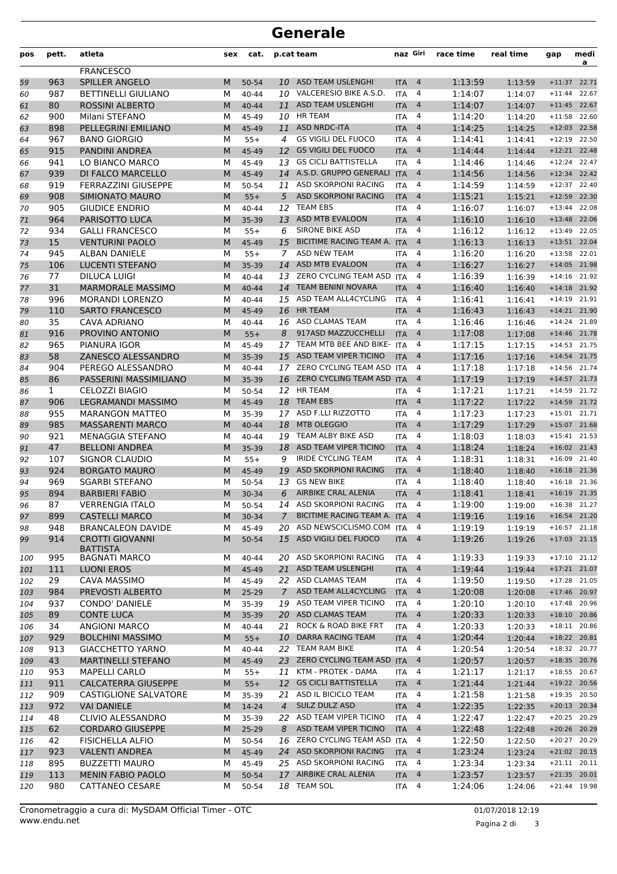## **Generale**

| pos        | pett.      | atleta                                             | sex    | cat.               |                  | p.cat team                                            | naz Giri                 |                     | race time          | real time          | gap                  | medi<br>a                      |
|------------|------------|----------------------------------------------------|--------|--------------------|------------------|-------------------------------------------------------|--------------------------|---------------------|--------------------|--------------------|----------------------|--------------------------------|
|            |            | <b>FRANCESCO</b>                                   |        |                    |                  |                                                       |                          |                     |                    |                    |                      |                                |
| 59         | 963        | <b>SPILLER ANGELO</b>                              | M      | 50-54              | 10               | ASD TEAM USLENGHI                                     | <b>ITA</b>               | 4                   | 1:13:59            | 1:13:59            | $+11:37$             | 22.71                          |
| 60         | 987        | <b>BETTINELLI GIULIANO</b>                         | М      | $40 - 44$          | 10               | VALCERESIO BIKE A.S.D.                                | <b>ITA</b>               | 4                   | 1:14:07            | 1:14:07            | $+11:44$             | 22.67                          |
| 61         | 80         | <b>ROSSINI ALBERTO</b>                             | M      | $40 - 44$          | 11               | ASD TEAM USLENGHI                                     | <b>ITA</b>               | $\overline{4}$      | 1:14:07            | 1:14:07            | $+11:45$             | 22.67                          |
| 62         | 900        | Milani STEFANO                                     | м      | 45-49              | 10               | <b>HR TEAM</b>                                        | <b>ITA</b>               | 4                   | 1:14:20            | 1:14:20            | $+11:58$             | 22.60                          |
| 63         | 898        | PELLEGRINI EMILIANO                                | M      | 45-49              | 11               | <b>ASD NRDC-ITA</b>                                   | <b>ITA</b>               | $\overline{4}$      | 1:14:25            | 1:14:25            | $+12:03$             | 22.58                          |
| 64         | 967        | <b>BANO GIORGIO</b>                                | м      | $55+$              | $\boldsymbol{4}$ | <b>GS VIGILI DEL FUOCO</b>                            | <b>ITA</b>               | 4                   | 1:14:41            | 1:14:41            | $+12:19$             | 22.50                          |
| 65         | 915        | <b>PANDINI ANDREA</b>                              | M      | 45-49              | 12               | <b>GS VIGILI DEL FUOCO</b>                            | <b>ITA</b>               | $\overline{4}$      | 1:14:44            | 1:14:44            | $+12:21$             | 22.48                          |
| 66         | 941        | LO BIANCO MARCO                                    | М      | 45-49              | 13               | <b>GS CICLI BATTISTELLA</b>                           | <b>ITA</b>               | 4                   | 1:14:46            | 1:14:46            | $+12:24$             | 22.47                          |
| 67         | 939        | DI FALCO MARCELLO                                  | M      | 45-49              |                  | 14 A.S.D. GRUPPO GENERALI                             | <b>ITA</b>               | $\overline{4}$      | 1:14:56            | 1:14:56            | $+12:34$             | 22.42                          |
| 68         | 919        | <b>FERRAZZINI GIUSEPPE</b>                         | м      | 50-54              | 11               | ASD SKORPIONI RACING                                  | <b>ITA</b>               | 4                   | 1:14:59            | 1:14:59            | $+12:37$             | 22.40                          |
| 69         | 908        | SIMIONATO MAURO                                    | M      | $55+$              | 5                | <b>ASD SKORPIONI RACING</b>                           | <b>ITA</b>               | $\overline{a}$      | 1:15:21            | 1:15:21            | $+12:59$             | 22.30                          |
| 70         | 905        | <b>GIUDICE ENDRIO</b>                              | M      | 40-44              | 12               | <b>TEAM EBS</b>                                       | <b>ITA</b>               | 4                   | 1:16:07            | 1:16:07            | $+13:44$             | 22.08                          |
| 71         | 964        | PARISOTTO LUCA                                     | M      | 35-39              | 13               | ASD MTB EVALOON                                       | <b>ITA</b>               | $\overline{4}$      | 1:16:10            | 1:16:10            | $+13:48$             | 22.06                          |
| 72         | 934        | <b>GALLI FRANCESCO</b>                             | М      | $55+$              | 6                | SIRONE BIKE ASD                                       | <b>ITA</b>               | 4                   | 1:16:12            | 1:16:12            | $+13:49$             | 22.05                          |
| 73         | 15         | <b>VENTURINI PAOLO</b>                             | M      | 45-49              | 15               | BICITIME RACING TEAM A.<br><b>ASD NEW TEAM</b>        | <b>ITA</b>               | $\overline{a}$      | 1:16:13            | 1:16:13            | $+13:51$             | 22.04                          |
| 74         | 945        | ALBAN DANIELE                                      | м      | $55+$              | 7                | ASD MTB EVALOON                                       | <b>ITA</b>               | 4                   | 1:16:20<br>1:16:27 | 1:16:20            | $+13:58$             | 22.01                          |
| 75         | 106        | <b>LUCENTI STEFANO</b><br><b>DILUCA LUIGI</b>      | M      | 35-39              | 14               | ZERO CYCLING TEAM ASD                                 | <b>ITA</b>               | $\overline{4}$<br>4 | 1:16:39            | 1:16:27            | $+14:05$<br>$+14:16$ | 21.98<br>21.92                 |
| 76         | 77<br>31   | <b>MARMORALE MASSIMO</b>                           | М<br>M | 40-44<br>$40 - 44$ | 13<br>14         | <b>TEAM BENINI NOVARA</b>                             | <b>ITA</b><br><b>ITA</b> | $\overline{4}$      | 1:16:40            | 1:16:39            | $+14:18$             | 21.92                          |
| 77         | 996        | <b>MORANDI LORENZO</b>                             | м      | $40 - 44$          | 15               | ASD TEAM ALL4CYCLING                                  | <b>ITA</b>               | 4                   | 1:16:41            | 1:16:40            | $+14:19$             | 21.91                          |
| 78         | 110        | <b>SARTO FRANCESCO</b>                             | M      | 45-49              | 16               | <b>HR TEAM</b>                                        |                          | $\overline{4}$      | 1:16:43            | 1:16:41            | $+14:21$             | 21.90                          |
| 79<br>80   | 35         | CAVA ADRIANO                                       | м      | 40-44              | 16               | <b>ASD CLAMAS TEAM</b>                                | <b>ITA</b><br><b>ITA</b> | 4                   | 1:16:46            | 1:16:43<br>1:16:46 | $+14:24$             | 21.89                          |
| 81         | 916        | PROVINO ANTONIO                                    | M      | $55+$              | 8                | 917ASD MAZZUCCHELLI                                   | <b>ITA</b>               | 4                   | 1:17:08            | 1:17:08            | $+14:46$             | 21.78                          |
| 82         | 965        | PIANURA IGOR                                       | м      | 45-49              | 17               | TEAM MTB BEE AND BIKE- ITA                            |                          | 4                   | 1:17:15            | 1:17:15            | $+14:53$             | 21.75                          |
| 83         | 58         | ZANESCO ALESSANDRO                                 | M      | 35-39              | 15               | ASD TEAM VIPER TICINO                                 | <b>ITA</b>               | $\overline{4}$      | 1:17:16            | 1:17:16            | $+14:54$             | 21.75                          |
| 84         | 904        | PEREGO ALESSANDRO                                  | М      | $40 - 44$          | 17               | ZERO CYCLING TEAM ASD ITA                             |                          | 4                   | 1:17:18            | 1:17:18            | $+14:56$             | 21.74                          |
| 85         | 86         | PASSERINI MASSIMILIANO                             | M      | 35-39              |                  | 16 ZERO CYCLING TEAM ASD ITA                          |                          | $\overline{4}$      | 1:17:19            | 1:17:19            | $+14:57$             | 21.73                          |
| 86         | 1          | <b>CELOZZI BIAGIO</b>                              | м      | 50-54              | 12               | <b>HR TEAM</b>                                        | ITA                      | 4                   | 1:17:21            | 1:17:21            | $+14:59$             | 21.72                          |
| 87         | 906        | LEGRAMANDI MASSIMO                                 | M      | 45-49              | 18               | <b>TEAM EBS</b>                                       | <b>ITA</b>               | 4                   | 1:17:22            | 1:17:22            | $+14:59$             | 21.72                          |
| 88         | 955        | <b>MARANGON MATTEO</b>                             | м      | 35-39              |                  | 17 ASD F.LLI RIZZOTTO                                 | <b>ITA</b>               | 4                   | 1:17:23            | 1:17:23            | $+15:01$             | 21.71                          |
| 89         | 985        | <b>MASSARENTI MARCO</b>                            | M      | 40-44              | 18               | <b>MTB OLEGGIO</b>                                    | <b>ITA</b>               | $\overline{a}$      | 1:17:29            | 1:17:29            | $+15:07$             | 21.68                          |
| 90         | 921        | <b>MENAGGIA STEFANO</b>                            | м      | 40-44              | 19               | TEAM ALBY BIKE ASD                                    | <b>ITA</b>               | 4                   | 1:18:03            | 1:18:03            | $+15:41$             | 21.53                          |
| 91         | 47         | <b>BELLONI ANDREA</b>                              | M      | 35-39              | 18               | ASD TEAM VIPER TICINO                                 | <b>ITA</b>               | $\overline{4}$      | 1:18:24            | 1:18:24            | $+16:02$             | 21.43                          |
| 92         | 107        | SIGNOR CLAUDIO                                     | м      | $55+$              | 9                | <b>IRIDE CYCLING TEAM</b>                             | <b>ITA</b>               | 4                   | 1:18:31            | 1:18:31            | $+16:09$             | 21.40                          |
| 93         | 924        | <b>BORGATO MAURO</b>                               | M      | 45-49              | 19               | <b>ASD SKORPIONI RACING</b>                           | <b>ITA</b>               | 4                   | 1:18:40            | 1:18:40            | $+16:18$             | 21.36                          |
| 94         | 969        | <b>SGARBI STEFANO</b>                              | м      | 50-54              | 13               | <b>GS NEW BIKE</b>                                    | <b>ITA</b>               | 4                   | 1:18:40            | 1:18:40            | $+16:18$             | 21.36                          |
| 95         | 894        | <b>BARBIERI FABIO</b>                              | M      | 30-34              | 6                | AIRBIKE CRAL ALENIA                                   | <b>ITA</b>               | $\overline{4}$      | 1:18:41            | 1:18:41            | $+16:19$             | 21.35                          |
| 96         | 87         | <b>VERRENGIA ITALO</b>                             | м      | 50-54              | 14               | ASD SKORPIONI RACING                                  | <b>ITA</b>               | 4                   | 1:19:00            | 1:19:00            |                      | $+16:38$ 21.27                 |
| 97         | 899        | <b>CASTELLI MARCO</b>                              | M      | 30-34              | $\overline{7}$   | BICITIME RACING TEAM A. ITA                           |                          | $\overline{4}$      | 1:19:16            | 1:19:16            |                      | $+16:54$ 21.20                 |
| 98         | 948        | <b>BRANCALEON DAVIDE</b>                           | м      | 45-49              | 20               | ASD NEWSCICLISMO.COM                                  | <b>ITA</b>               | 4                   | 1:19:19            | 1:19:19            | $+16:57$             | 21.18                          |
| 99         | 914        | <b>CROTTI GIOVANNI</b>                             | M      | 50-54              | 15               | ASD VIGILI DEL FUOCO                                  | <b>ITA</b>               | $\overline{4}$      | 1:19:26            | 1:19:26            |                      | $+17:03$ 21.15                 |
|            |            | <b>BATTISTA</b>                                    |        |                    |                  |                                                       |                          |                     |                    |                    |                      |                                |
| 100        | 995        | <b>BAGNATI MARCO</b>                               | М      | 40-44              | 20               | ASD SKORPIONI RACING                                  | <b>ITA</b>               | 4                   | 1:19:33            | 1:19:33            |                      | $+17:10$ 21.12                 |
| 101        | 111        | <b>LUONI EROS</b>                                  | M      | 45-49              | 21               | ASD TEAM USLENGHI                                     | <b>ITA</b>               | $\overline{4}$      | 1:19:44            | 1:19:44            |                      | $+17:21$ 21.07                 |
| 102        | 29         | CAVA MASSIMO                                       | м      | 45-49              |                  | 22 ASD CLAMAS TEAM                                    | <b>ITA</b>               | 4                   | 1:19:50            | 1:19:50            |                      | $+17:28$ 21.05                 |
| 103        | 984        | PREVOSTI ALBERTO                                   | M      | 25-29              | $7^{\circ}$      | ASD TEAM ALL4CYCLING                                  | <b>ITA</b>               | $\overline{4}$      | 1:20:08            | 1:20:08            |                      | $+17:46$ 20.97                 |
| 104        | 937        | CONDO' DANIELE                                     | М      | 35-39              | 19               | ASD TEAM VIPER TICINO                                 | <b>ITA</b>               | $\overline{4}$      | 1:20:10            | 1:20:10            | $+17:48$             | 20.96                          |
| 105        | 89         | <b>CONTE LUCA</b>                                  | M      | 35-39              |                  | 20 ASD CLAMAS TEAM<br><b>ROCK &amp; ROAD BIKE FRT</b> | <b>ITA</b>               | $\overline{4}$      | 1:20:33            | 1:20:33            | $+18:10$             | 20.86                          |
| 106        | 34         | <b>ANGIONI MARCO</b>                               | М      | 40-44              | 21               | DARRA RACING TEAM                                     | <b>ITA</b>               | 4                   | 1:20:33            | 1:20:33            |                      | $+18:11$ 20.86                 |
| 107        | 929<br>913 | <b>BOLCHINI MASSIMO</b><br><b>GIACCHETTO YARNO</b> | M<br>М | $55+$<br>40-44     | 10               | 22 TEAM RAM BIKE                                      | <b>ITA</b><br><b>ITA</b> | $\overline{4}$<br>4 | 1:20:44<br>1:20:54 | 1:20:44            |                      | $+18:22$ 20.81<br>+18:32 20.77 |
| 108        | 43         | <b>MARTINELLI STEFANO</b>                          | M      | 45-49              |                  | 23 ZERO CYCLING TEAM ASD ITA                          |                          | $\overline{4}$      | 1:20:57            | 1:20:54<br>1:20:57 | $+18:35$             | 20.76                          |
| 109        | 953        | <b>MAPELLI CARLO</b>                               |        | $55+$              |                  | 11 KTM - PROTEK - DAMA                                | ITA                      | 4                   | 1:21:17            |                    | $+18:55$             | 20.67                          |
| 110        | 911        | <b>CALCATERRA GIUSEPPE</b>                         | М<br>M | $55+$              | 12               | <b>GS CICLI BATTISTELLA</b>                           |                          | $\overline{4}$      | 1:21:44            | 1:21:17            |                      | +19:22 20.56                   |
| 111        | 909        | <b>CASTIGLIONE SALVATORE</b>                       |        |                    | 21               | ASD IL BICICLO TEAM                                   | <b>ITA</b>               | 4                   | 1:21:58            | 1:21:44            |                      | $+19:35$ 20.50                 |
| 112<br>113 | 972        | <b>VAI DANIELE</b>                                 | М<br>M | 35-39<br>14-24     | $\overline{4}$   | SULZ DULZ ASD                                         | ITA<br><b>ITA</b>        | $\overline{4}$      | 1:22:35            | 1:21:58<br>1:22:35 |                      | $+20:13$ 20.34                 |
| 114        | 48         | CLIVIO ALESSANDRO                                  | М      | 35-39              |                  | 22 ASD TEAM VIPER TICINO                              | <b>ITA</b>               | 4                   | 1:22:47            | 1:22:47            |                      | +20:25 20.29                   |
| 115        | 62         | <b>CORDARO GIUSEPPE</b>                            | M      | 25-29              | 8                | ASD TEAM VIPER TICINO                                 | <b>ITA</b>               | $\overline{4}$      | 1:22:48            | 1:22:48            |                      | +20:26 20.29                   |
| 116        | 42         | <b>FISICHELLA ALFIO</b>                            | М      | 50-54              |                  | 16 ZERO CYCLING TEAM ASD ITA                          |                          | 4                   | 1:22:50            | 1:22:50            | $+20:27$             | 20.29                          |
| 117        | 923        | <b>VALENTI ANDREA</b>                              | M      | 45-49              |                  | 24 ASD SKORPIONI RACING                               | <b>ITA</b>               | $\overline{4}$      | 1:23:24            | 1:23:24            |                      | $+21:02$ 20.15                 |
| 118        | 895        | <b>BUZZETTI MAURO</b>                              | М      | 45-49              | 25               | ASD SKORPIONI RACING                                  | <b>ITA</b>               | 4                   | 1:23:34            | 1:23:34            |                      | $+21:11$ 20.11                 |
| 119        | 113        | <b>MENIN FABIO PAOLO</b>                           | M      | 50-54              |                  | 17 AIRBIKE CRAL ALENIA                                | <b>ITA</b>               | $\overline{4}$      | 1:23:57            | 1:23:57            |                      | $+21:35$ 20.01                 |
| 120        | 980        | CATTANEO CESARE                                    | М      | 50-54              |                  | 18 TEAM SOL                                           | <b>ITA</b>               | 4                   | 1:24:06            | 1:24:06            |                      | $+21:44$ 19.98                 |
|            |            |                                                    |        |                    |                  |                                                       |                          |                     |                    |                    |                      |                                |

Pagina 2 di 3